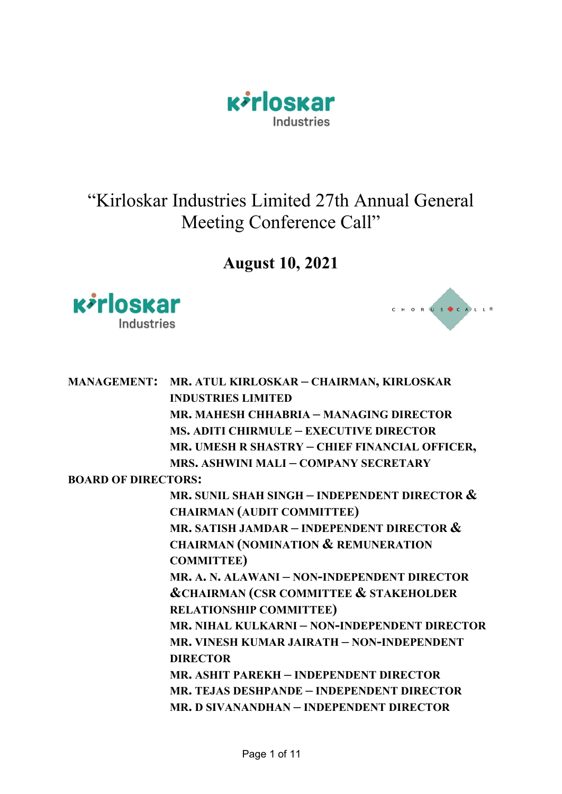

# "Kirloskar Industries Limited 27th Annual General Meeting Conference Call"

## **August 10, 2021**





|                            | MANAGEMENT: MR. ATUL KIRLOSKAR - CHAIRMAN, KIRLOSKAR  |
|----------------------------|-------------------------------------------------------|
|                            | <b>INDUSTRIES LIMITED</b>                             |
|                            | MR. MAHESH CHHABRIA - MANAGING DIRECTOR               |
|                            | <b>MS. ADITI CHIRMULE - EXECUTIVE DIRECTOR</b>        |
|                            | MR. UMESH R SHASTRY - CHIEF FINANCIAL OFFICER,        |
|                            | <b>MRS. ASHWINI MALI - COMPANY SECRETARY</b>          |
| <b>BOARD OF DIRECTORS:</b> |                                                       |
|                            | MR. SUNIL SHAH SINGH – INDEPENDENT DIRECTOR $\&$      |
|                            | <b>CHAIRMAN (AUDIT COMMITTEE)</b>                     |
|                            | MR. SATISH JAMDAR – INDEPENDENT DIRECTOR $\&$         |
|                            | <b>CHAIRMAN (NOMINATION &amp; REMUNERATION</b>        |
|                            | <b>COMMITTEE)</b>                                     |
|                            | MR. A. N. ALAWANI – NON-INDEPENDENT DIRECTOR          |
|                            | <b>&amp;CHAIRMAN (CSR COMMITTEE &amp; STAKEHOLDER</b> |
|                            | <b>RELATIONSHIP COMMITTEE)</b>                        |
|                            | MR, NIHAL KULKARNI – NON-INDEPENDENT DIRECTOR         |
|                            | MR. VINESH KUMAR JAIRATH – NON-INDEPENDENT            |
|                            | <b>DIRECTOR</b>                                       |
|                            | MR. ASHIT PAREKH – INDEPENDENT DIRECTOR               |
|                            | MR. TEJAS DESHPANDE – INDEPENDENT DIRECTOR            |
|                            | MR. D SIVANANDHAN – INDEPENDENT DIRECTOR              |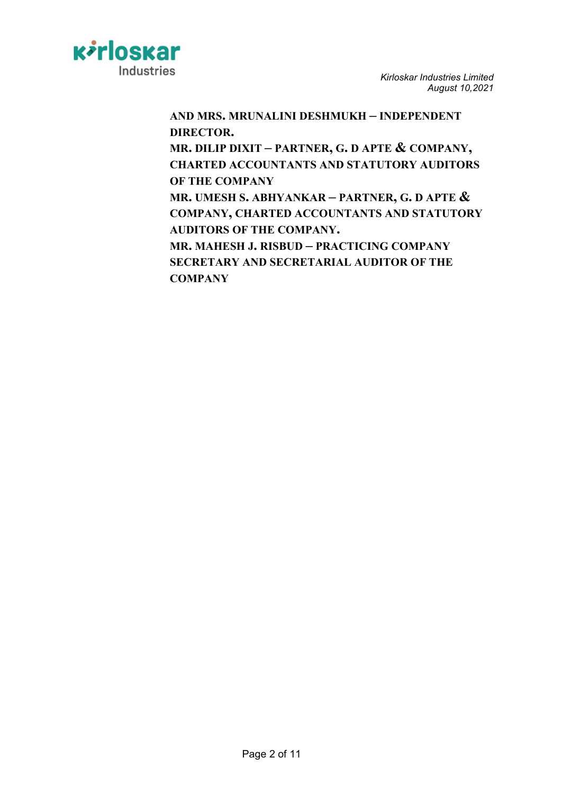

**AND MRS. MRUNALINI DESHMUKH – INDEPENDENT DIRECTOR.**

**MR. DILIP DIXIT – PARTNER, G. D APTE & COMPANY, CHARTED ACCOUNTANTS AND STATUTORY AUDITORS OF THE COMPANY**

**MR. UMESH S. ABHYANKAR – PARTNER, G. D APTE & COMPANY, CHARTED ACCOUNTANTS AND STATUTORY AUDITORS OF THE COMPANY.**

**MR. MAHESH J. RISBUD – PRACTICING COMPANY SECRETARY AND SECRETARIAL AUDITOR OF THE COMPANY**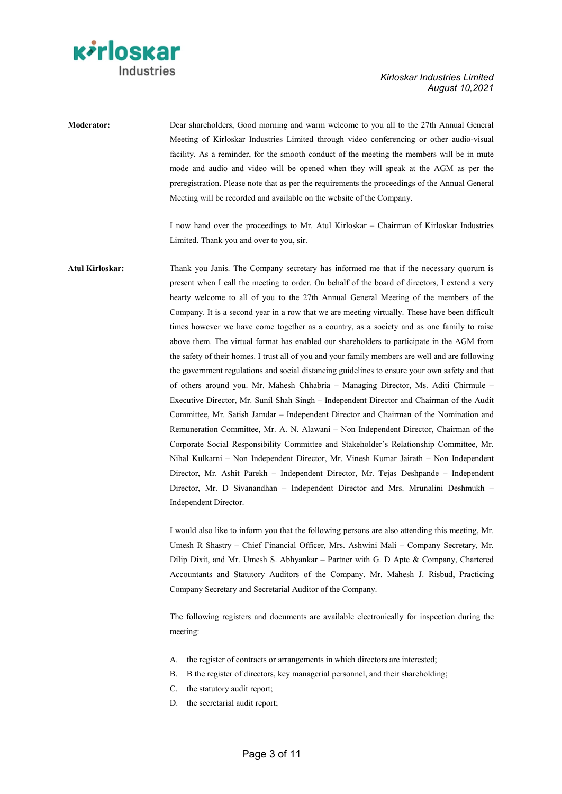

## **Moderator:** Dear shareholders, Good morning and warm welcome to you all to the 27th Annual General Meeting of Kirloskar Industries Limited through video conferencing or other audio-visual facility. As a reminder, for the smooth conduct of the meeting the members will be in mute mode and audio and video will be opened when they will speak at the AGM as per the preregistration. Please note that as per the requirements the proceedings of the Annual General Meeting will be recorded and available on the website of the Company.

I now hand over the proceedings to Mr. Atul Kirloskar – Chairman of Kirloskar Industries Limited. Thank you and over to you, sir.

**Atul Kirloskar:** Thank you Janis. The Company secretary has informed me that if the necessary quorum is present when I call the meeting to order. On behalf of the board of directors, I extend a very hearty welcome to all of you to the 27th Annual General Meeting of the members of the Company. It is a second year in a row that we are meeting virtually. These have been difficult times however we have come together as a country, as a society and as one family to raise above them. The virtual format has enabled our shareholders to participate in the AGM from the safety of their homes. I trust all of you and your family members are well and are following the government regulations and social distancing guidelines to ensure your own safety and that of others around you. Mr. Mahesh Chhabria – Managing Director, Ms. Aditi Chirmule – Executive Director, Mr. Sunil Shah Singh – Independent Director and Chairman of the Audit Committee, Mr. Satish Jamdar – Independent Director and Chairman of the Nomination and Remuneration Committee, Mr. A. N. Alawani – Non Independent Director, Chairman of the Corporate Social Responsibility Committee and Stakeholder's Relationship Committee, Mr. Nihal Kulkarni – Non Independent Director, Mr. Vinesh Kumar Jairath – Non Independent Director, Mr. Ashit Parekh – Independent Director, Mr. Tejas Deshpande – Independent Director, Mr. D Sivanandhan – Independent Director and Mrs. Mrunalini Deshmukh – Independent Director.

> I would also like to inform you that the following persons are also attending this meeting, Mr. Umesh R Shastry – Chief Financial Officer, Mrs. Ashwini Mali – Company Secretary, Mr. Dilip Dixit, and Mr. Umesh S. Abhyankar – Partner with G. D Apte & Company, Chartered Accountants and Statutory Auditors of the Company. Mr. Mahesh J. Risbud, Practicing Company Secretary and Secretarial Auditor of the Company.

> The following registers and documents are available electronically for inspection during the meeting:

- A. the register of contracts or arrangements in which directors are interested;
- B. B the register of directors, key managerial personnel, and their shareholding;
- C. the statutory audit report;
- D. the secretarial audit report;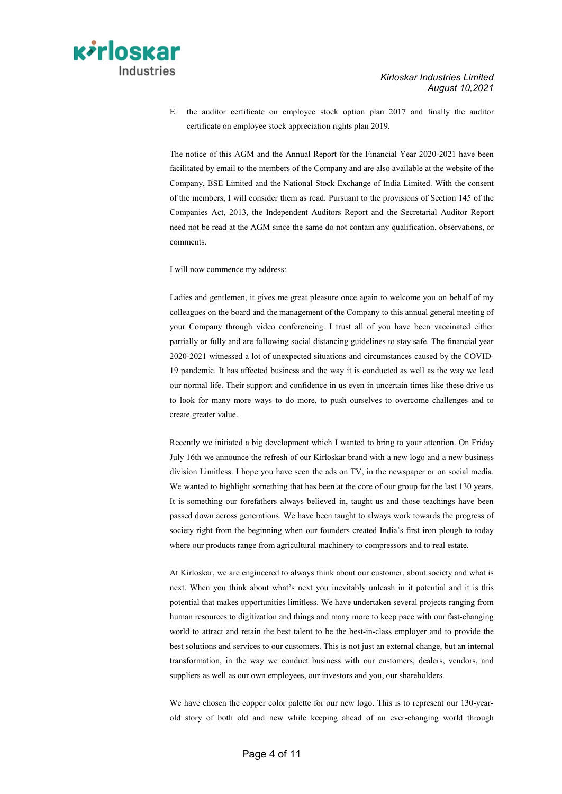E. the auditor certificate on employee stock option plan 2017 and finally the auditor certificate on employee stock appreciation rights plan 2019.

The notice of this AGM and the Annual Report for the Financial Year 2020-2021 have been facilitated by email to the members of the Company and are also available at the website of the Company, BSE Limited and the National Stock Exchange of India Limited. With the consent of the members, I will consider them as read. Pursuant to the provisions of Section 145 of the Companies Act, 2013, the Independent Auditors Report and the Secretarial Auditor Report need not be read at the AGM since the same do not contain any qualification, observations, or comments.

I will now commence my address:

Ladies and gentlemen, it gives me great pleasure once again to welcome you on behalf of my colleagues on the board and the management of the Company to this annual general meeting of your Company through video conferencing. I trust all of you have been vaccinated either partially or fully and are following social distancing guidelines to stay safe. The financial year 2020-2021 witnessed a lot of unexpected situations and circumstances caused by the COVID-19 pandemic. It has affected business and the way it is conducted as well as the way we lead our normal life. Their support and confidence in us even in uncertain times like these drive us to look for many more ways to do more, to push ourselves to overcome challenges and to create greater value.

Recently we initiated a big development which I wanted to bring to your attention. On Friday July 16th we announce the refresh of our Kirloskar brand with a new logo and a new business division Limitless. I hope you have seen the ads on TV, in the newspaper or on social media. We wanted to highlight something that has been at the core of our group for the last 130 years. It is something our forefathers always believed in, taught us and those teachings have been passed down across generations. We have been taught to always work towards the progress of society right from the beginning when our founders created India's first iron plough to today where our products range from agricultural machinery to compressors and to real estate.

At Kirloskar, we are engineered to always think about our customer, about society and what is next. When you think about what's next you inevitably unleash in it potential and it is this potential that makes opportunities limitless. We have undertaken several projects ranging from human resources to digitization and things and many more to keep pace with our fast-changing world to attract and retain the best talent to be the best-in-class employer and to provide the best solutions and services to our customers. This is not just an external change, but an internal transformation, in the way we conduct business with our customers, dealers, vendors, and suppliers as well as our own employees, our investors and you, our shareholders.

We have chosen the copper color palette for our new logo. This is to represent our 130-yearold story of both old and new while keeping ahead of an ever-changing world through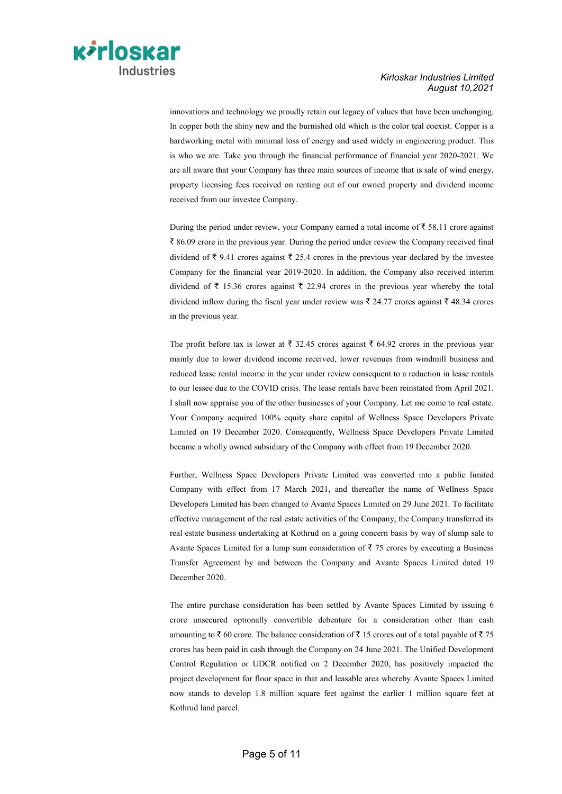

innovations and technology we proudly retain our legacy of values that have been unchanging. In copper both the shiny new and the burnished old which is the color teal coexist. Copper is a hardworking metal with minimal loss of energy and used widely in engineering product. This is who we are. Take you through the financial performance of financial year 2020-2021. We are all aware that your Company has three main sources of income that is sale of wind energy, property licensing fees received on renting out of our owned property and dividend income received from our investee Company.

During the period under review, your Company earned a total income of  $\bar{\tau}$  58.11 crore against  $\bar{\xi}$  86.09 crore in the previous year. During the period under review the Company received final dividend of  $\bar{\tau}$  9.41 crores against  $\bar{\tau}$  25.4 crores in the previous year declared by the investee Company for the financial year 2019-2020. In addition, the Company also received interim dividend of  $\bar{\tau}$  15.36 crores against  $\bar{\tau}$  22.94 crores in the previous year whereby the total dividend inflow during the fiscal year under review was  $\bar{\tau}$  24.77 crores against  $\bar{\tau}$  48.34 crores in the previous year.

The profit before tax is lower at  $\bar{\tau}$  32.45 crores against  $\bar{\tau}$  64.92 crores in the previous year mainly due to lower dividend income received, lower revenues from windmill business and reduced lease rental income in the year under review consequent to a reduction in lease rentals to our lessee due to the COVID crisis. The lease rentals have been reinstated from April 2021. I shall now appraise you of the other businesses of your Company. Let me come to real estate. Your Company acquired 100% equity share capital of Wellness Space Developers Private Limited on 19 December 2020. Consequently, Wellness Space Developers Private Limited became a wholly owned subsidiary of the Company with effect from 19 December 2020.

Further, Wellness Space Developers Private Limited was converted into a public limited Company with effect from 17 March 2021, and thereafter the name of Wellness Space Developers Limited has been changed to Avante Spaces Limited on 29 June 2021. To facilitate effective management of the real estate activities of the Company, the Company transferred its real estate business undertaking at Kothrud on a going concern basis by way of slump sale to Avante Spaces Limited for a lump sum consideration of  $\bar{z}$  75 crores by executing a Business Transfer Agreement by and between the Company and Avante Spaces Limited dated 19 December 2020.

The entire purchase consideration has been settled by Avante Spaces Limited by issuing 6 crore unsecured optionally convertible debenture for a consideration other than cash amounting to  $\bar{\tau}$  60 crore. The balance consideration of  $\bar{\tau}$  15 crores out of a total payable of  $\bar{\tau}$  75 crores has been paid in cash through the Company on 24 June 2021. The Unified Development Control Regulation or UDCR notified on 2 December 2020, has positively impacted the project development for floor space in that and leasable area whereby Avante Spaces Limited now stands to develop 1.8 million square feet against the earlier 1 million square feet at Kothrud land parcel.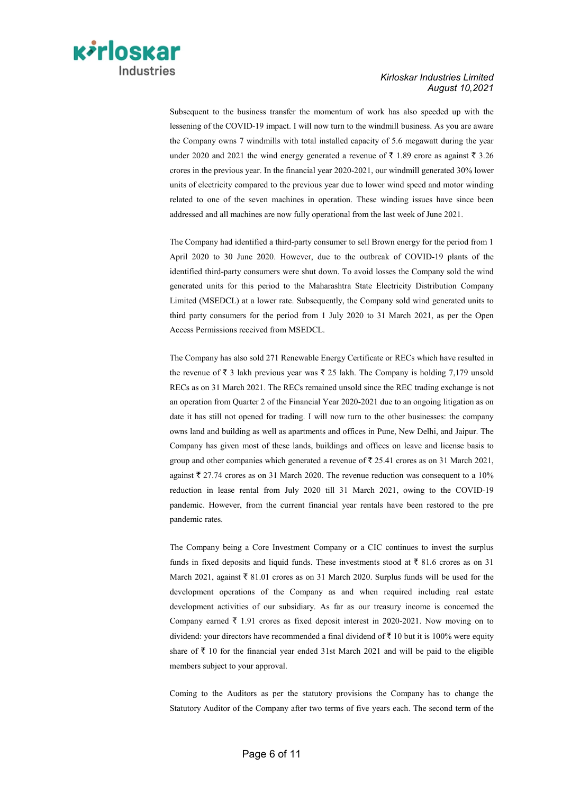

Subsequent to the business transfer the momentum of work has also speeded up with the lessening of the COVID-19 impact. I will now turn to the windmill business. As you are aware the Company owns 7 windmills with total installed capacity of 5.6 megawatt during the year under 2020 and 2021 the wind energy generated a revenue of  $\bar{\tau}$  1.89 crore as against  $\bar{\tau}$  3.26 crores in the previous year. In the financial year 2020-2021, our windmill generated 30% lower units of electricity compared to the previous year due to lower wind speed and motor winding related to one of the seven machines in operation. These winding issues have since been addressed and all machines are now fully operational from the last week of June 2021.

The Company had identified a third-party consumer to sell Brown energy for the period from 1 April 2020 to 30 June 2020. However, due to the outbreak of COVID-19 plants of the identified third-party consumers were shut down. To avoid losses the Company sold the wind generated units for this period to the Maharashtra State Electricity Distribution Company Limited (MSEDCL) at a lower rate. Subsequently, the Company sold wind generated units to third party consumers for the period from 1 July 2020 to 31 March 2021, as per the Open Access Permissions received from MSEDCL.

The Company has also sold 271 Renewable Energy Certificate or RECs which have resulted in the revenue of  $\bar{\tau}$  3 lakh previous year was  $\bar{\tau}$  25 lakh. The Company is holding 7,179 unsold RECs as on 31 March 2021. The RECs remained unsold since the REC trading exchange is not an operation from Quarter 2 of the Financial Year 2020-2021 due to an ongoing litigation as on date it has still not opened for trading. I will now turn to the other businesses: the company owns land and building as well as apartments and offices in Pune, New Delhi, and Jaipur. The Company has given most of these lands, buildings and offices on leave and license basis to group and other companies which generated a revenue of  $\bar{\tau}$  25.41 crores as on 31 March 2021, against  $\bar{\tau}$  27.74 crores as on 31 March 2020. The revenue reduction was consequent to a 10% reduction in lease rental from July 2020 till 31 March 2021, owing to the COVID-19 pandemic. However, from the current financial year rentals have been restored to the pre pandemic rates.

The Company being a Core Investment Company or a CIC continues to invest the surplus funds in fixed deposits and liquid funds. These investments stood at  $\bar{\tau}$  81.6 crores as on 31 March 2021, against  $\bar{\xi}$  81.01 crores as on 31 March 2020. Surplus funds will be used for the development operations of the Company as and when required including real estate development activities of our subsidiary. As far as our treasury income is concerned the Company earned  $\bar{\tau}$  1.91 crores as fixed deposit interest in 2020-2021. Now moving on to dividend: your directors have recommended a final dividend of  $\bar{\tau}$  10 but it is 100% were equity share of  $\bar{\tau}$  10 for the financial year ended 31st March 2021 and will be paid to the eligible members subject to your approval.

Coming to the Auditors as per the statutory provisions the Company has to change the Statutory Auditor of the Company after two terms of five years each. The second term of the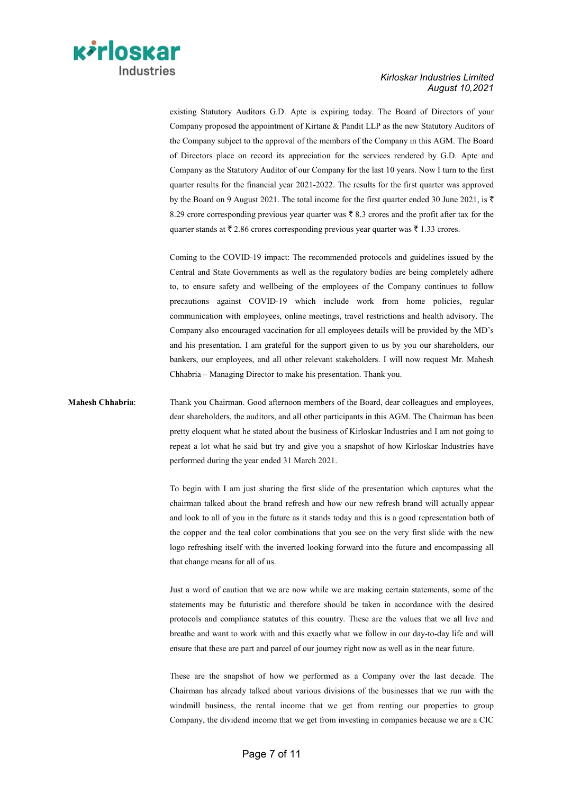

existing Statutory Auditors G.D. Apte is expiring today. The Board of Directors of your Company proposed the appointment of Kirtane & Pandit LLP as the new Statutory Auditors of the Company subject to the approval of the members of the Company in this AGM. The Board of Directors place on record its appreciation for the services rendered by G.D. Apte and Company as the Statutory Auditor of our Company for the last 10 years. Now I turn to the first quarter results for the financial year 2021-2022. The results for the first quarter was approved by the Board on 9 August 2021. The total income for the first quarter ended 30 June 2021, is  $\bar{\tau}$ 8.29 crore corresponding previous year quarter was  $\bar{\tau}$  8.3 crores and the profit after tax for the quarter stands at  $\bar{\tau}$  2.86 crores corresponding previous year quarter was  $\bar{\tau}$  1.33 crores.

Coming to the COVID-19 impact: The recommended protocols and guidelines issued by the Central and State Governments as well as the regulatory bodies are being completely adhere to, to ensure safety and wellbeing of the employees of the Company continues to follow precautions against COVID-19 which include work from home policies, regular communication with employees, online meetings, travel restrictions and health advisory. The Company also encouraged vaccination for all employees details will be provided by the MD's and his presentation. I am grateful for the support given to us by you our shareholders, our bankers, our employees, and all other relevant stakeholders. I will now request Mr. Mahesh Chhabria – Managing Director to make his presentation. Thank you.

### **Mahesh Chhabria**: Thank you Chairman. Good afternoon members of the Board, dear colleagues and employees, dear shareholders, the auditors, and all other participants in this AGM. The Chairman has been pretty eloquent what he stated about the business of Kirloskar Industries and I am not going to repeat a lot what he said but try and give you a snapshot of how Kirloskar Industries have performed during the year ended 31 March 2021.

To begin with I am just sharing the first slide of the presentation which captures what the chairman talked about the brand refresh and how our new refresh brand will actually appear and look to all of you in the future as it stands today and this is a good representation both of the copper and the teal color combinations that you see on the very first slide with the new logo refreshing itself with the inverted looking forward into the future and encompassing all that change means for all of us.

Just a word of caution that we are now while we are making certain statements, some of the statements may be futuristic and therefore should be taken in accordance with the desired protocols and compliance statutes of this country. These are the values that we all live and breathe and want to work with and this exactly what we follow in our day-to-day life and will ensure that these are part and parcel of our journey right now as well as in the near future.

These are the snapshot of how we performed as a Company over the last decade. The Chairman has already talked about various divisions of the businesses that we run with the windmill business, the rental income that we get from renting our properties to group Company, the dividend income that we get from investing in companies because we are a CIC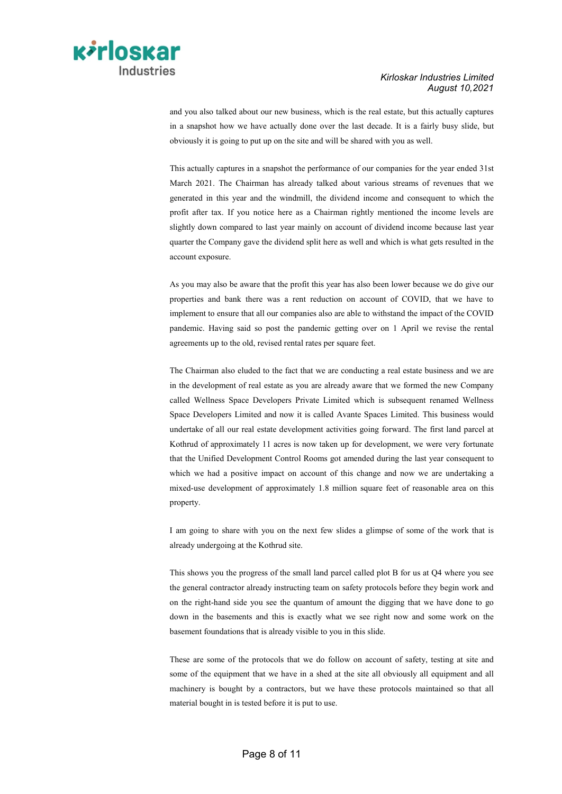

and you also talked about our new business, which is the real estate, but this actually captures in a snapshot how we have actually done over the last decade. It is a fairly busy slide, but obviously it is going to put up on the site and will be shared with you as well.

This actually captures in a snapshot the performance of our companies for the year ended 31st March 2021. The Chairman has already talked about various streams of revenues that we generated in this year and the windmill, the dividend income and consequent to which the profit after tax. If you notice here as a Chairman rightly mentioned the income levels are slightly down compared to last year mainly on account of dividend income because last year quarter the Company gave the dividend split here as well and which is what gets resulted in the account exposure.

As you may also be aware that the profit this year has also been lower because we do give our properties and bank there was a rent reduction on account of COVID, that we have to implement to ensure that all our companies also are able to withstand the impact of the COVID pandemic. Having said so post the pandemic getting over on 1 April we revise the rental agreements up to the old, revised rental rates per square feet.

The Chairman also eluded to the fact that we are conducting a real estate business and we are in the development of real estate as you are already aware that we formed the new Company called Wellness Space Developers Private Limited which is subsequent renamed Wellness Space Developers Limited and now it is called Avante Spaces Limited. This business would undertake of all our real estate development activities going forward. The first land parcel at Kothrud of approximately 11 acres is now taken up for development, we were very fortunate that the Unified Development Control Rooms got amended during the last year consequent to which we had a positive impact on account of this change and now we are undertaking a mixed-use development of approximately 1.8 million square feet of reasonable area on this property.

I am going to share with you on the next few slides a glimpse of some of the work that is already undergoing at the Kothrud site.

This shows you the progress of the small land parcel called plot B for us at Q4 where you see the general contractor already instructing team on safety protocols before they begin work and on the right-hand side you see the quantum of amount the digging that we have done to go down in the basements and this is exactly what we see right now and some work on the basement foundations that is already visible to you in this slide.

These are some of the protocols that we do follow on account of safety, testing at site and some of the equipment that we have in a shed at the site all obviously all equipment and all machinery is bought by a contractors, but we have these protocols maintained so that all material bought in is tested before it is put to use.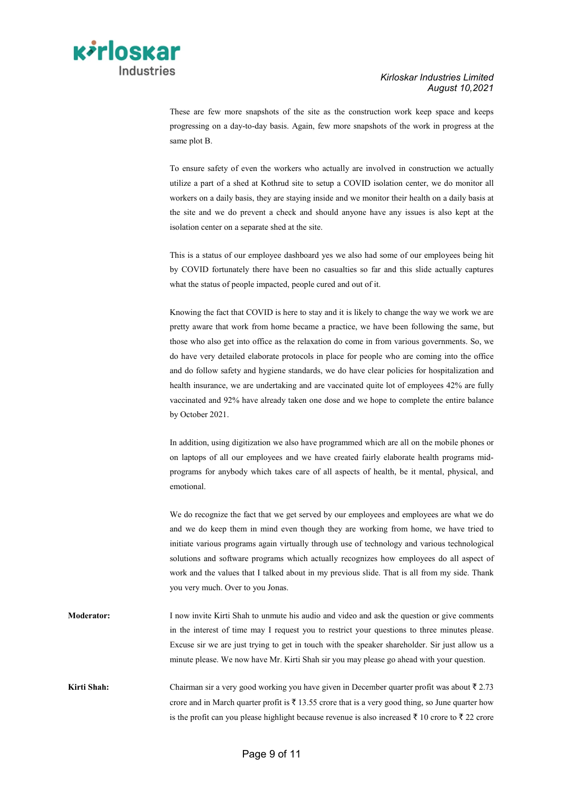

These are few more snapshots of the site as the construction work keep space and keeps progressing on a day-to-day basis. Again, few more snapshots of the work in progress at the same plot B.

To ensure safety of even the workers who actually are involved in construction we actually utilize a part of a shed at Kothrud site to setup a COVID isolation center, we do monitor all workers on a daily basis, they are staying inside and we monitor their health on a daily basis at the site and we do prevent a check and should anyone have any issues is also kept at the isolation center on a separate shed at the site.

This is a status of our employee dashboard yes we also had some of our employees being hit by COVID fortunately there have been no casualties so far and this slide actually captures what the status of people impacted, people cured and out of it.

Knowing the fact that COVID is here to stay and it is likely to change the way we work we are pretty aware that work from home became a practice, we have been following the same, but those who also get into office as the relaxation do come in from various governments. So, we do have very detailed elaborate protocols in place for people who are coming into the office and do follow safety and hygiene standards, we do have clear policies for hospitalization and health insurance, we are undertaking and are vaccinated quite lot of employees 42% are fully vaccinated and 92% have already taken one dose and we hope to complete the entire balance by October 2021.

In addition, using digitization we also have programmed which are all on the mobile phones or on laptops of all our employees and we have created fairly elaborate health programs midprograms for anybody which takes care of all aspects of health, be it mental, physical, and emotional.

We do recognize the fact that we get served by our employees and employees are what we do and we do keep them in mind even though they are working from home, we have tried to initiate various programs again virtually through use of technology and various technological solutions and software programs which actually recognizes how employees do all aspect of work and the values that I talked about in my previous slide. That is all from my side. Thank you very much. Over to you Jonas.

**Moderator:** I now invite Kirti Shah to unmute his audio and video and ask the question or give comments in the interest of time may I request you to restrict your questions to three minutes please. Excuse sir we are just trying to get in touch with the speaker shareholder. Sir just allow us a minute please. We now have Mr. Kirti Shah sir you may please go ahead with your question.

Kirti Shah: Chairman sir a very good working you have given in December quarter profit was about  $\bar{\tau}$  2.73 crore and in March quarter profit is  $\bar{\tau}$  13.55 crore that is a very good thing, so June quarter how is the profit can you please highlight because revenue is also increased  $\bar{\tau}$  10 crore to  $\bar{\tau}$  22 crore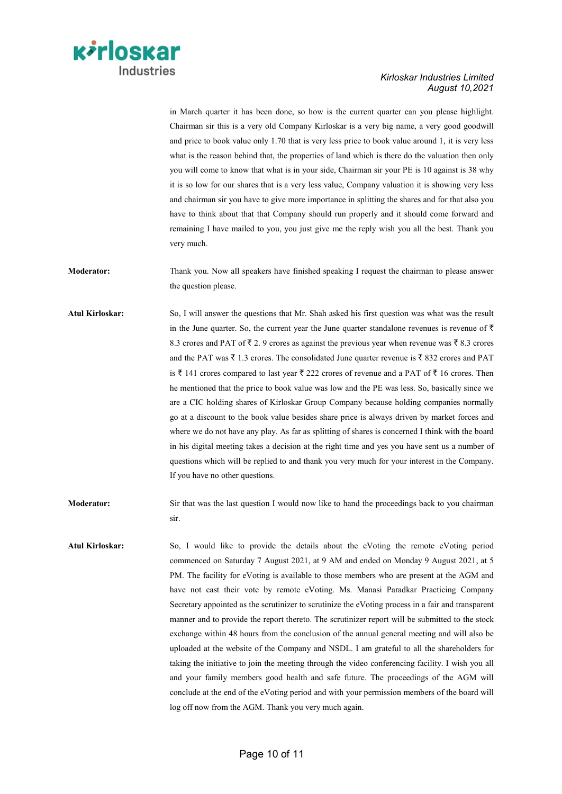

in March quarter it has been done, so how is the current quarter can you please highlight. Chairman sir this is a very old Company Kirloskar is a very big name, a very good goodwill and price to book value only 1.70 that is very less price to book value around 1, it is very less what is the reason behind that, the properties of land which is there do the valuation then only you will come to know that what is in your side, Chairman sir your PE is 10 against is 38 why it is so low for our shares that is a very less value, Company valuation it is showing very less and chairman sir you have to give more importance in splitting the shares and for that also you have to think about that that Company should run properly and it should come forward and remaining I have mailed to you, you just give me the reply wish you all the best. Thank you very much.

**Moderator:** Thank you. Now all speakers have finished speaking I request the chairman to please answer the question please.

**Atul Kirloskar:** So, I will answer the questions that Mr. Shah asked his first question was what was the result in the June quarter. So, the current year the June quarter standalone revenues is revenue of  $\bar{\tau}$ 8.3 crores and PAT of  $\bar{\tau}$  2. 9 crores as against the previous year when revenue was  $\bar{\tau}$  8.3 crores and the PAT was  $\bar{\tau}$  1.3 crores. The consolidated June quarter revenue is  $\bar{\tau}$  832 crores and PAT is  $\bar{\tau}$  141 crores compared to last year  $\bar{\tau}$  222 crores of revenue and a PAT of  $\bar{\tau}$  16 crores. Then he mentioned that the price to book value was low and the PE was less. So, basically since we are a CIC holding shares of Kirloskar Group Company because holding companies normally go at a discount to the book value besides share price is always driven by market forces and where we do not have any play. As far as splitting of shares is concerned I think with the board in his digital meeting takes a decision at the right time and yes you have sent us a number of questions which will be replied to and thank you very much for your interest in the Company. If you have no other questions.

**Moderator:** Sir that was the last question I would now like to hand the proceedings back to you chairman sir.

Atul Kirloskar: So, I would like to provide the details about the eVoting the remote eVoting period commenced on Saturday 7 August 2021, at 9 AM and ended on Monday 9 August 2021, at 5 PM. The facility for eVoting is available to those members who are present at the AGM and have not cast their vote by remote eVoting. Ms. Manasi Paradkar Practicing Company Secretary appointed as the scrutinizer to scrutinize the eVoting process in a fair and transparent manner and to provide the report thereto. The scrutinizer report will be submitted to the stock exchange within 48 hours from the conclusion of the annual general meeting and will also be uploaded at the website of the Company and NSDL. I am grateful to all the shareholders for taking the initiative to join the meeting through the video conferencing facility. I wish you all and your family members good health and safe future. The proceedings of the AGM will conclude at the end of the eVoting period and with your permission members of the board will log off now from the AGM. Thank you very much again.